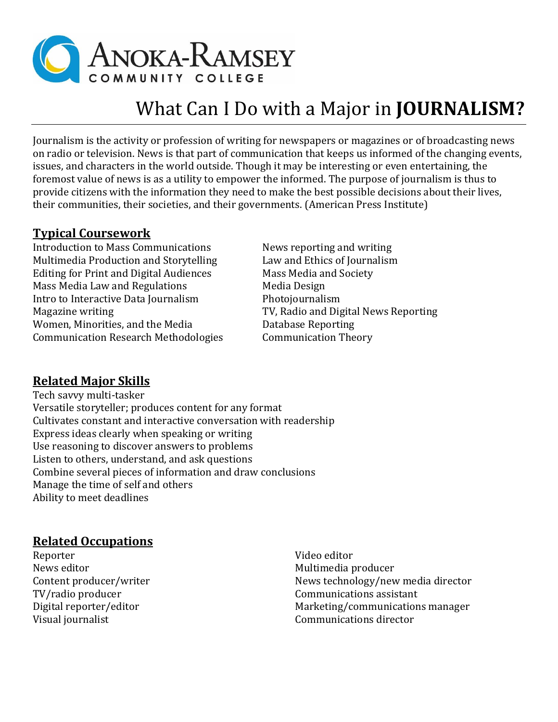

# What Can I Do with a Major in **JOURNALISM?**

Journalism is the activity or profession of writing for newspapers or magazines or of broadcasting news on radio or television. News is that part of communication that keeps us informed of the changing events, issues, and characters in the world outside. Though it may be interesting or even entertaining, the foremost value of news is as a utility to empower the informed. The purpose of journalism is thus to provide citizens with the information they need to make the best possible decisions about their lives, their communities, their societies, and their governments. (American Press Institute)

#### **Typical Coursework**

Introduction to Mass Communications News reporting and writing Multimedia Production and Storytelling Law and Ethics of Journalism Editing for Print and Digital Audiences Mass Media and Society Mass Media Law and Regulations Media Design Intro to Interactive Data Journalism Photojournalism Magazine writing TV, Radio and Digital News Reporting Women, Minorities, and the Media Database Reporting Communication Research Methodologies Communication Theory

## **Related Major Skills**

Tech savvy multi-tasker Versatile storyteller; produces content for any format Cultivates constant and interactive conversation with readership Express ideas clearly when speaking or writing Use reasoning to discover answers to problems Listen to others, understand, and ask questions Combine several pieces of information and draw conclusions Manage the time of self and others Ability to meet deadlines

## **Related Occupations**

Reporter News editor Content producer/writer TV/radio producer Digital reporter/editor Visual journalist

Video editor Multimedia producer News technology/new media director Communications assistant Marketing/communications manager Communications director